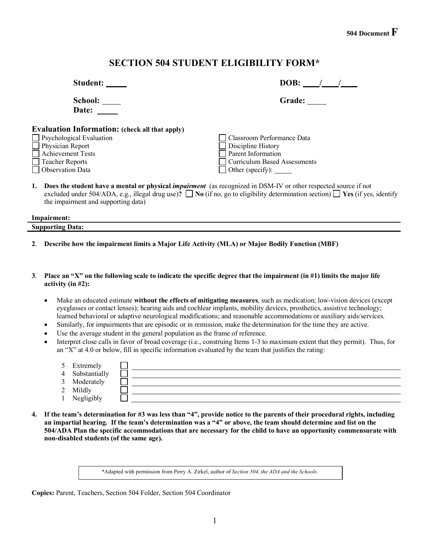## **SECTION 504 STUDENT ELIGIBILITY FORM\***

| Student:                                              | DOB:                                                                                                                                                                                                                                                                     |  |  |
|-------------------------------------------------------|--------------------------------------------------------------------------------------------------------------------------------------------------------------------------------------------------------------------------------------------------------------------------|--|--|
| School: ____<br>Date:                                 | Grade:                                                                                                                                                                                                                                                                   |  |  |
| <b>Evaluation Information:</b> (check all that apply) |                                                                                                                                                                                                                                                                          |  |  |
|                                                       | Classroom Performance Data                                                                                                                                                                                                                                               |  |  |
| □ Psychological Evaluation<br>□ Physician Report      | Discipline History                                                                                                                                                                                                                                                       |  |  |
| Achievement Tests                                     | Parent Information                                                                                                                                                                                                                                                       |  |  |
| Teacher Reports                                       | Curriculum Based Assessments                                                                                                                                                                                                                                             |  |  |
| Observation Data                                      | Other (specify):                                                                                                                                                                                                                                                         |  |  |
|                                                       | 1. Does the student have a mental or physical <i>impairment</i> (as recognized in DSM-IV or other respected source if not<br>excluded under $504/\Delta DA$ e.g. illegal drug use)? $\Box$ No (if no, go to eligibility determination section) $\Box$ Ves (if yes, ident |  |  |

| excluded under 504/ADA, e.g., illegal drug use)? $\Box$ No (if no, go to eligibility determination section) $\Box$ Yes (if yes, identify |
|------------------------------------------------------------------------------------------------------------------------------------------|
| the impairment and supporting data)                                                                                                      |
|                                                                                                                                          |

| $\sim$<br>--<br>--- |  |  |
|---------------------|--|--|
| $\sim$<br>້         |  |  |
|                     |  |  |

- **2**. **Describe how the impairment limits a Major Life Activity (MLA) or Major Bodily Function (MBF)**
- **3**. **Place an "X" on the following scale to indicate the specific degree that the impairment (in #1) limits the major life activity (in #2):** 
	- Make an educated estimate **without the effects of mitigating measures**, such as medication; low-vision devices (except eyeglasses or contact lenses); hearing aids and cochlear implants, mobility devices, prosthetics, assistive technology; learned behavioral or adaptive neurological modifications; and reasonable accommodations or auxiliary aids/services.
	- Similarly, for impairments that are episodic or in remission, make the determination for the time they are active.
	- Use the average student in the general population as the frame of reference.
	- Interpret close calls in favor of broad coverage (i.e., construing Items 1-3 to maximum extent that they permit). Thus, for an "X" at 4.0 or below, fill in specific information evaluated by the team that justifies the rating:

| 5              | Extremely     |  |
|----------------|---------------|--|
| $\overline{4}$ | Substantially |  |
| $\mathbf{R}$   | Moderately    |  |
| 2              | Mildly        |  |
|                | Negligibly    |  |

**4. If the team's determination for #3 was less than "4", provide notice to the parents of their procedural rights, including an impartial hearing. If the team's determination was a "4" or above, the team should determine and list on the 504/ADA Plan the specific accommodations that are necessary for the child to have an opportunity commensurate with non-disabled students (of the same age).**

\*Adapted with permission from Perry A. Zirkel, author of *Section 504, the ADA and the Schools.*

**Copies:** Parent, Teachers, Section 504 Folder, Section 504 Coordinator